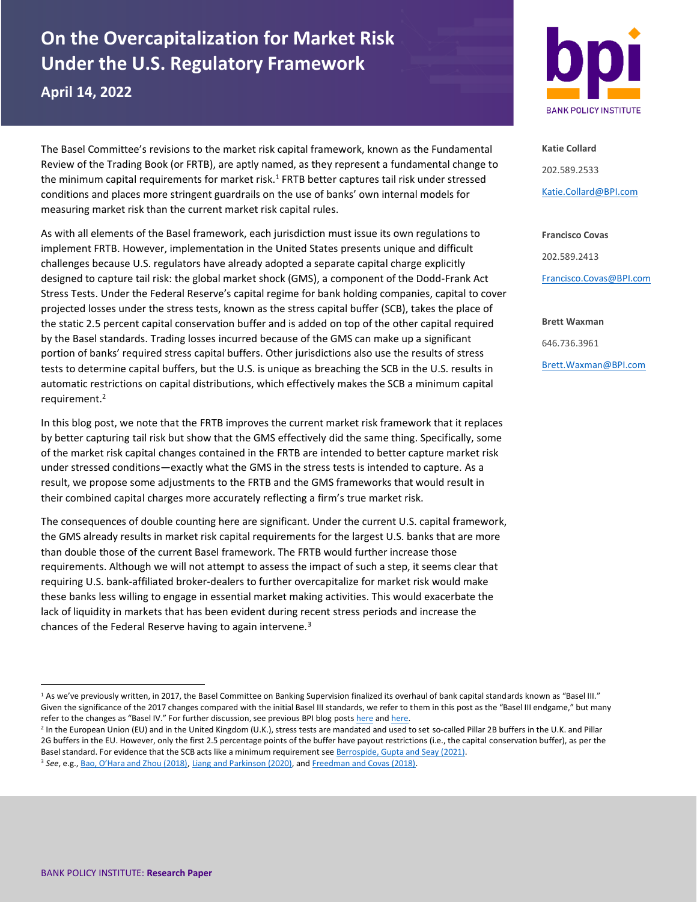# **On the Overcapitalization for Market Risk Under the U.S. Regulatory Framework**

**April 14, 2022**

The Basel Committee's revisions to the market risk capital framework, known as the Fundamental Review of the Trading Book (or FRTB), are aptly named, as they represent a fundamental change to the minimum capital requirements for market risk.<sup>1</sup> FRTB better captures tail risk under stressed conditions and places more stringent guardrails on the use of banks' own internal models for measuring market risk than the current market risk capital rules.

As with all elements of the Basel framework, each jurisdiction must issue its own regulations to implement FRTB. However, implementation in the United States presents unique and difficult challenges because U.S. regulators have already adopted a separate capital charge explicitly designed to capture tail risk: the global market shock (GMS), a component of the Dodd-Frank Act Stress Tests. Under the Federal Reserve's capital regime for bank holding companies, capital to cover projected losses under the stress tests, known as the stress capital buffer (SCB), takes the place of the static 2.5 percent capital conservation buffer and is added on top of the other capital required by the Basel standards. Trading losses incurred because of the GMS can make up a significant portion of banks' required stress capital buffers. Other jurisdictions also use the results of stress tests to determine capital buffers, but the U.S. is unique as breaching the SCB in the U.S. results in automatic restrictions on capital distributions, which effectively makes the SCB a minimum capital requirement.<sup>2</sup>

In this blog post, we note that the FRTB improves the current market risk framework that it replaces by better capturing tail risk but show that the GMS effectively did the same thing. Specifically, some of the market risk capital changes contained in the FRTB are intended to better capture market risk under stressed conditions—exactly what the GMS in the stress tests is intended to capture. As a result, we propose some adjustments to the FRTB and the GMS frameworks that would result in their combined capital charges more accurately reflecting a firm's true market risk.

The consequences of double counting here are significant. Under the current U.S. capital framework, the GMS already results in market risk capital requirements for the largest U.S. banks that are more than double those of the current Basel framework. The FRTB would further increase those requirements. Although we will not attempt to assess the impact of such a step, it seems clear that requiring U.S. bank-affiliated broker-dealers to further overcapitalize for market risk would make these banks less willing to engage in essential market making activities. This would exacerbate the lack of liquidity in markets that has been evident during recent stress periods and increase the chances of the Federal Reserve having to again intervene.<sup>3</sup>



**Katie Collard** 202.589.2533 [Katie.Collard@BPI.com](mailto:Katie.Collard@BPI.com)

**Francisco Covas** 202.589.2413 [Francisco.Covas@BPI.com](mailto:Francisco.Covas@BPI.com)

**Brett Waxman** 646.736.3961 [Brett.Waxman@BPI.com](mailto:Brett.Waxman@BPI.com)

<sup>1</sup> As we've previously written, in 2017, the Basel Committee on Banking Supervision finalized its overhaul of bank capital standards known as "Basel III." Given the significance of the 2017 changes compared with the initial Basel III standards, we refer to them in this post as the "Basel III endgame," but many refer to the changes as "Basel IV." For further discussion, see previous BPI blog post[s here](https://bpi.com/how-much-will-u-s-businesses-pay-for-loans-translating-a-basel-accord-into-a-u-s-regulation/) an[d here.](https://bpi.com/wp-content/uploads/2022/01/Basel-III-Endgame-and-the-Cost-of-Credit-for-American-Business.pdf)

<sup>2</sup> In the European Union (EU) and in the United Kingdom (U.K.), stress tests are mandated and used to set so-called Pillar 2B buffers in the U.K. and Pillar 2G buffers in the EU. However, only the first 2.5 percentage points of the buffer have payout restrictions (i.e., the capital conservation buffer), as per the Basel standard. For evidence that the SCB acts like a minimum requirement se[e Berrospide, Gupta and Seay \(2021\).](https://www.federalreserve.gov/econres/feds/files/2021043pap.pdf) <sup>3</sup> *See*, e.g., Bao, [O'Hara and Zhou \(2018\)](https://www.federalreserve.gov/econresdata/feds/2016/files/2016102pap.pdf), [Liang and Parkinson \(2020\),](https://www.brookings.edu/research/enhancing-liquidity-of-the-u-s-treasury-market-under-stress/) an[d Freedman and Covas \(2018\).](https://bpi.com/the-global-market-shock-and-bond-market-liquidity/)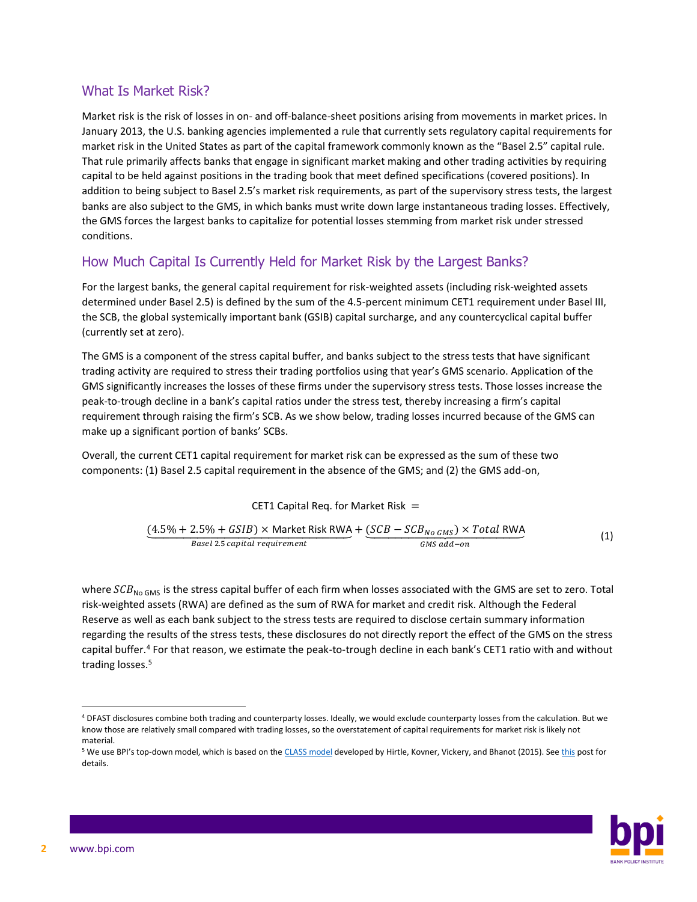#### What Is Market Risk?

Market risk is the risk of losses in on- and off-balance-sheet positions arising from movements in market prices. In January 2013, the U.S. banking agencies implemented a rule that currently sets regulatory capital requirements for market risk in the United States as part of the capital framework commonly known as the "Basel 2.5" capital rule. That rule primarily affects banks that engage in significant market making and other trading activities by requiring capital to be held against positions in the trading book that meet defined specifications (covered positions). In addition to being subject to Basel 2.5's market risk requirements, as part of the supervisory stress tests, the largest banks are also subject to the GMS, in which banks must write down large instantaneous trading losses. Effectively, the GMS forces the largest banks to capitalize for potential losses stemming from market risk under stressed conditions.

## How Much Capital Is Currently Held for Market Risk by the Largest Banks?

For the largest banks, the general capital requirement for risk-weighted assets (including risk-weighted assets determined under Basel 2.5) is defined by the sum of the 4.5-percent minimum CET1 requirement under Basel III, the SCB, the global systemically important bank (GSIB) capital surcharge, and any countercyclical capital buffer (currently set at zero).

The GMS is a component of the stress capital buffer, and banks subject to the stress tests that have significant trading activity are required to stress their trading portfolios using that year's GMS scenario. Application of the GMS significantly increases the losses of these firms under the supervisory stress tests. Those losses increase the peak-to-trough decline in a bank's capital ratios under the stress test, thereby increasing a firm's capital requirement through raising the firm's SCB. As we show below, trading losses incurred because of the GMS can make up a significant portion of banks' SCBs.

Overall, the current CET1 capital requirement for market risk can be expressed as the sum of these two components: (1) Basel 2.5 capital requirement in the absence of the GMS; and (2) the GMS add-on,

#### CET1 Capital Req. for Market Risk  $=$

$$
\underbrace{(4.5\% + 2.5\% + GSIB) \times \text{Market Risk RWA}}_{\text{Base1 2.5 capital requirement}} + \underbrace{(SCB - SCB_{No\ GMS}) \times Total\ RWA}_{\text{GMS add-on}}
$$
 (1)

where  $SCB_{NogMs}$  is the stress capital buffer of each firm when losses associated with the GMS are set to zero. Total risk-weighted assets (RWA) are defined as the sum of RWA for market and credit risk. Although the Federal Reserve as well as each bank subject to the stress tests are required to disclose certain summary information regarding the results of the stress tests, these disclosures do not directly report the effect of the GMS on the stress capital buffer.<sup>4</sup> For that reason, we estimate the peak-to-trough decline in each bank's CET1 ratio with and without trading losses.<sup>5</sup>

<sup>&</sup>lt;sup>5</sup> We use BPI's top-down model, which is based on th[e CLASS model](https://www.newyorkfed.org/medialibrary/media/research/staff_reports/sr663.pdf) developed by Hirtle, Kovner, Vickery, and Bhanot (2015). Se[e this](https://bpi.com/deep-dive-dfast-2022-stress-test-scenarios/) post for details.



<sup>4</sup> DFAST disclosures combine both trading and counterparty losses. Ideally, we would exclude counterparty losses from the calculation. But we know those are relatively small compared with trading losses, so the overstatement of capital requirements for market risk is likely not material.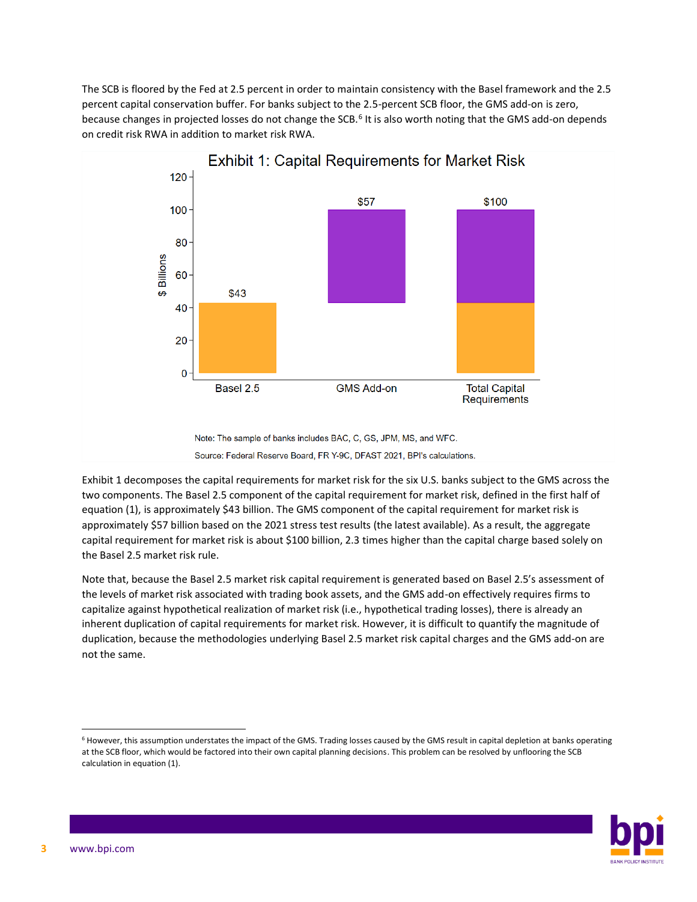The SCB is floored by the Fed at 2.5 percent in order to maintain consistency with the Basel framework and the 2.5 percent capital conservation buffer. For banks subject to the 2.5-percent SCB floor, the GMS add-on is zero, because changes in projected losses do not change the SCB.<sup>6</sup> It is also worth noting that the GMS add-on depends on credit risk RWA in addition to market risk RWA.



Note: The sample of banks includes BAC, C, GS, JPM, MS, and WFC. Source: Federal Reserve Board, FR Y-9C, DFAST 2021, BPI's calculations.

Exhibit 1 decomposes the capital requirements for market risk for the six U.S. banks subject to the GMS across the two components. The Basel 2.5 component of the capital requirement for market risk, defined in the first half of equation (1), is approximately \$43 billion. The GMS component of the capital requirement for market risk is approximately \$57 billion based on the 2021 stress test results (the latest available). As a result, the aggregate capital requirement for market risk is about \$100 billion, 2.3 times higher than the capital charge based solely on the Basel 2.5 market risk rule.

Note that, because the Basel 2.5 market risk capital requirement is generated based on Basel 2.5's assessment of the levels of market risk associated with trading book assets, and the GMS add-on effectively requires firms to capitalize against hypothetical realization of market risk (i.e., hypothetical trading losses), there is already an inherent duplication of capital requirements for market risk. However, it is difficult to quantify the magnitude of duplication, because the methodologies underlying Basel 2.5 market risk capital charges and the GMS add-on are not the same.

<sup>6</sup> However, this assumption understates the impact of the GMS. Trading losses caused by the GMS result in capital depletion at banks operating at the SCB floor, which would be factored into their own capital planning decisions. This problem can be resolved by unflooring the SCB calculation in equation (1).

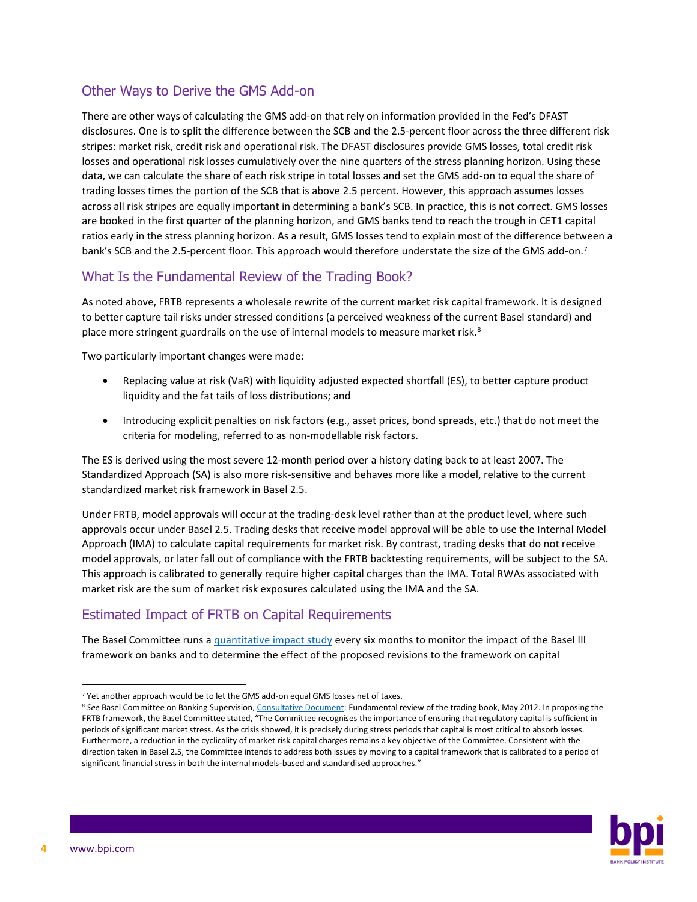#### Other Ways to Derive the GMS Add-on

There are other ways of calculating the GMS add-on that rely on information provided in the Fed's DFAST disclosures. One is to split the difference between the SCB and the 2.5-percent floor across the three different risk stripes: market risk, credit risk and operational risk. The DFAST disclosures provide GMS losses, total credit risk losses and operational risk losses cumulatively over the nine quarters of the stress planning horizon. Using these data, we can calculate the share of each risk stripe in total losses and set the GMS add-on to equal the share of trading losses times the portion of the SCB that is above 2.5 percent. However, this approach assumes losses across all risk stripes are equally important in determining a bank's SCB. In practice, this is not correct. GMS losses are booked in the first quarter of the planning horizon, and GMS banks tend to reach the trough in CET1 capital ratios early in the stress planning horizon. As a result, GMS losses tend to explain most of the difference between a bank's SCB and the 2.5-percent floor. This approach would therefore understate the size of the GMS add-on.<sup>7</sup>

## What Is the Fundamental Review of the Trading Book?

As noted above, FRTB represents a wholesale rewrite of the current market risk capital framework. It is designed to better capture tail risks under stressed conditions (a perceived weakness of the current Basel standard) and place more stringent guardrails on the use of internal models to measure market risk.<sup>8</sup>

Two particularly important changes were made:

- Replacing value at risk (VaR) with liquidity adjusted expected shortfall (ES), to better capture product liquidity and the fat tails of loss distributions; and
- Introducing explicit penalties on risk factors (e.g., asset prices, bond spreads, etc.) that do not meet the criteria for modeling, referred to as non-modellable risk factors.

The ES is derived using the most severe 12-month period over a history dating back to at least 2007. The Standardized Approach (SA) is also more risk-sensitive and behaves more like a model, relative to the current standardized market risk framework in Basel 2.5.

Under FRTB, model approvals will occur at the trading-desk level rather than at the product level, where such approvals occur under Basel 2.5. Trading desks that receive model approval will be able to use the Internal Model Approach (IMA) to calculate capital requirements for market risk. By contrast, trading desks that do not receive model approvals, or later fall out of compliance with the FRTB backtesting requirements, will be subject to the SA. This approach is calibrated to generally require higher capital charges than the IMA. Total RWAs associated with market risk are the sum of market risk exposures calculated using the IMA and the SA.

# Estimated Impact of FRTB on Capital Requirements

The Basel Committee runs a [quantitative impact study](https://www.bis.org/bcbs/qis/index.htm) every six months to monitor the impact of the Basel III framework on banks and to determine the effect of the proposed revisions to the framework on capital

<sup>&</sup>lt;sup>8</sup> See Basel Committee on Banking Supervision, [Consultative Document:](https://www.bis.org/publ/bcbs219.pdf) Fundamental review of the trading book, May 2012. In proposing the FRTB framework, the Basel Committee stated, "The Committee recognises the importance of ensuring that regulatory capital is sufficient in periods of significant market stress. As the crisis showed, it is precisely during stress periods that capital is most critical to absorb losses. Furthermore, a reduction in the cyclicality of market risk capital charges remains a key objective of the Committee. Consistent with the direction taken in Basel 2.5, the Committee intends to address both issues by moving to a capital framework that is calibrated to a period of significant financial stress in both the internal models-based and standardised approaches."



<sup>&</sup>lt;sup>7</sup> Yet another approach would be to let the GMS add-on equal GMS losses net of taxes.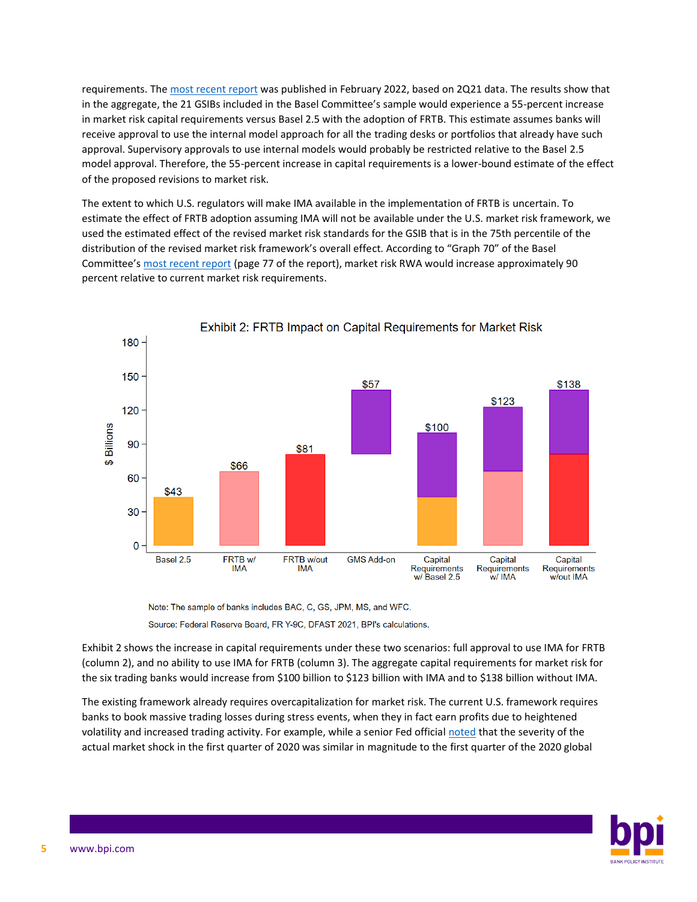requirements. Th[e most recent report](https://www.bis.org/bcbs/publ/d531.htm) was published in February 2022, based on 2Q21 data. The results show that in the aggregate, the 21 GSIBs included in the Basel Committee's sample would experience a 55-percent increase in market risk capital requirements versus Basel 2.5 with the adoption of FRTB. This estimate assumes banks will receive approval to use the internal model approach for all the trading desks or portfolios that already have such approval. Supervisory approvals to use internal models would probably be restricted relative to the Basel 2.5 model approval. Therefore, the 55-percent increase in capital requirements is a lower-bound estimate of the effect of the proposed revisions to market risk.

The extent to which U.S. regulators will make IMA available in the implementation of FRTB is uncertain. To estimate the effect of FRTB adoption assuming IMA will not be available under the U.S. market risk framework, we used the estimated effect of the revised market risk standards for the GSIB that is in the 75th percentile of the distribution of the revised market risk framework's overall effect. According to "Graph 70" of the Basel Committee's [most recent report](https://www.bis.org/bcbs/publ/d531.pdf) (page 77 of the report), market risk RWA would increase approximately 90 percent relative to current market risk requirements.



Source: Federal Reserve Board, FR Y-9C, DFAST 2021, BPI's calculations.

Exhibit 2 shows the increase in capital requirements under these two scenarios: full approval to use IMA for FRTB (column 2), and no ability to use IMA for FRTB (column 3). The aggregate capital requirements for market risk for the six trading banks would increase from \$100 billion to \$123 billion with IMA and to \$138 billion without IMA.

The existing framework already requires overcapitalization for market risk. The current U.S. framework requires banks to book massive trading losses during stress events, when they in fact earn profits due to heightened volatility and increased trading activity. For example, while a senior Fed official [noted](https://www.federalreserve.gov/newsevents/pressreleases/brainard-statement-20200625c.htm) that the severity of the actual market shock in the first quarter of 2020 was similar in magnitude to the first quarter of the 2020 global

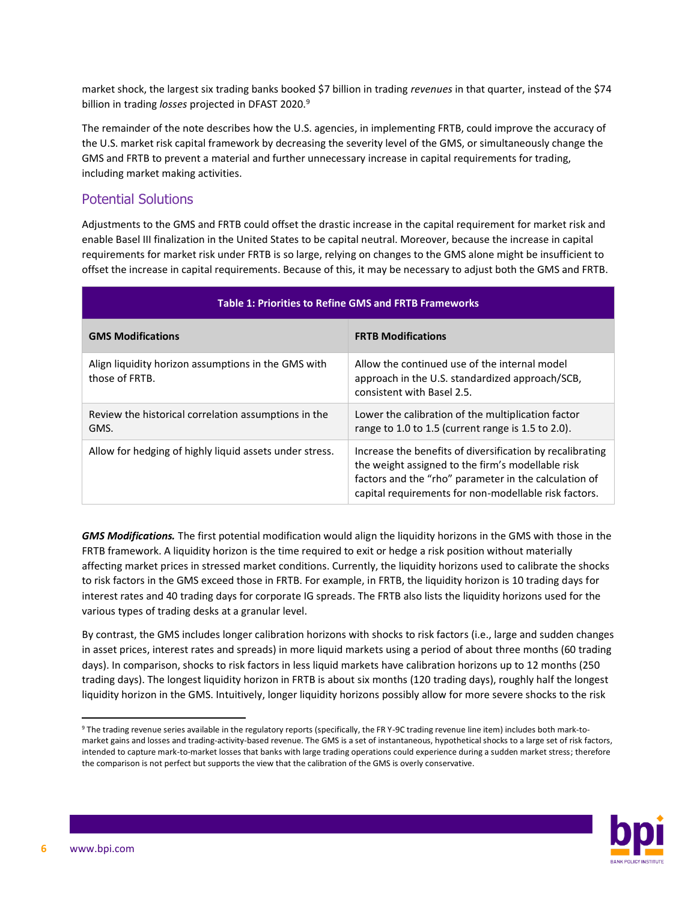market shock, the largest six trading banks booked \$7 billion in trading *revenues* in that quarter, instead of the \$74 billion in trading *losses* projected in DFAST 2020.<sup>9</sup>

The remainder of the note describes how the U.S. agencies, in implementing FRTB, could improve the accuracy of the U.S. market risk capital framework by decreasing the severity level of the GMS, or simultaneously change the GMS and FRTB to prevent a material and further unnecessary increase in capital requirements for trading, including market making activities.

#### Potential Solutions

Adjustments to the GMS and FRTB could offset the drastic increase in the capital requirement for market risk and enable Basel III finalization in the United States to be capital neutral. Moreover, because the increase in capital requirements for market risk under FRTB is so large, relying on changes to the GMS alone might be insufficient to offset the increase in capital requirements. Because of this, it may be necessary to adjust both the GMS and FRTB.

| <b>Table 1: Priorities to Refine GMS and FRTB Frameworks</b>          |                                                                                                                                                                                                                                  |
|-----------------------------------------------------------------------|----------------------------------------------------------------------------------------------------------------------------------------------------------------------------------------------------------------------------------|
| <b>GMS Modifications</b>                                              | <b>FRTB Modifications</b>                                                                                                                                                                                                        |
| Align liquidity horizon assumptions in the GMS with<br>those of FRTB. | Allow the continued use of the internal model<br>approach in the U.S. standardized approach/SCB,<br>consistent with Basel 2.5.                                                                                                   |
| Review the historical correlation assumptions in the<br>GMS.          | Lower the calibration of the multiplication factor<br>range to 1.0 to 1.5 (current range is 1.5 to 2.0).                                                                                                                         |
| Allow for hedging of highly liquid assets under stress.               | Increase the benefits of diversification by recalibrating<br>the weight assigned to the firm's modellable risk<br>factors and the "rho" parameter in the calculation of<br>capital requirements for non-modellable risk factors. |

*GMS Modifications.* The first potential modification would align the liquidity horizons in the GMS with those in the FRTB framework. A liquidity horizon is the time required to exit or hedge a risk position without materially affecting market prices in stressed market conditions. Currently, the liquidity horizons used to calibrate the shocks to risk factors in the GMS exceed those in FRTB. For example, in FRTB, the liquidity horizon is 10 trading days for interest rates and 40 trading days for corporate IG spreads. The FRTB also lists the liquidity horizons used for the various types of trading desks at a granular level.

By contrast, the GMS includes longer calibration horizons with shocks to risk factors (i.e., large and sudden changes in asset prices, interest rates and spreads) in more liquid markets using a period of about three months (60 trading days). In comparison, shocks to risk factors in less liquid markets have calibration horizons up to 12 months (250 trading days). The longest liquidity horizon in FRTB is about six months (120 trading days), roughly half the longest liquidity horizon in the GMS. Intuitively, longer liquidity horizons possibly allow for more severe shocks to the risk

<sup>9</sup> The trading revenue series available in the regulatory reports (specifically, the FR Y-9C trading revenue line item) includes both mark-tomarket gains and losses and trading-activity-based revenue. The GMS is a set of instantaneous, hypothetical shocks to a large set of risk factors, intended to capture mark-to-market losses that banks with large trading operations could experience during a sudden market stress; therefore the comparison is not perfect but supports the view that the calibration of the GMS is overly conservative.

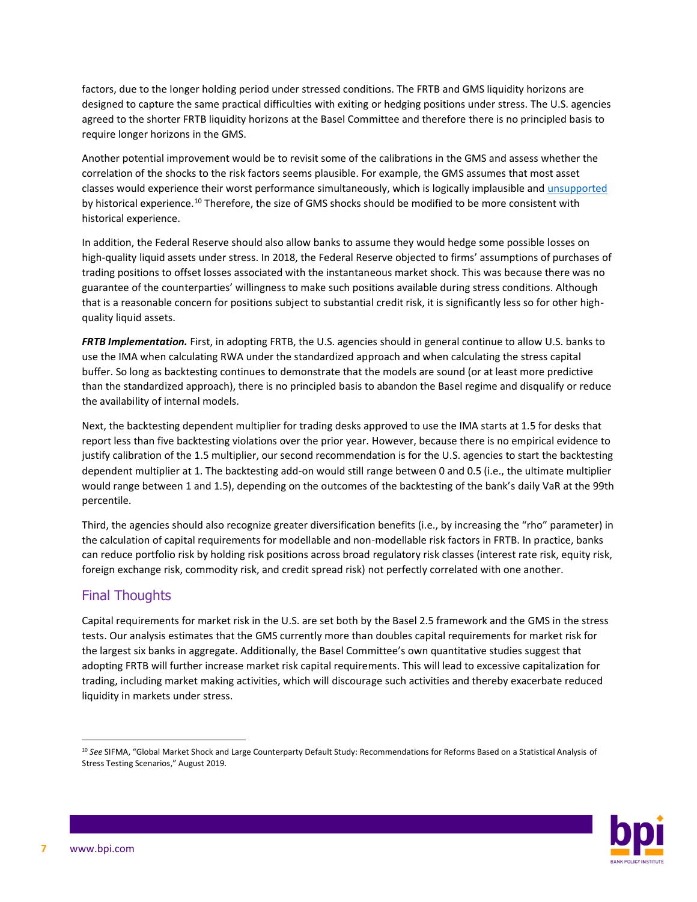factors, due to the longer holding period under stressed conditions. The FRTB and GMS liquidity horizons are designed to capture the same practical difficulties with exiting or hedging positions under stress. The U.S. agencies agreed to the shorter FRTB liquidity horizons at the Basel Committee and therefore there is no principled basis to require longer horizons in the GMS.

Another potential improvement would be to revisit some of the calibrations in the GMS and assess whether the correlation of the shocks to the risk factors seems plausible. For example, the GMS assumes that most asset classes would experience their worst performance simultaneously, which is logically implausible and [unsupported](https://www.sifma.org/wp-content/uploads/2019/09/SIFMA-GMS-LCD-Study-FINAL.pdf) by historical experience.<sup>10</sup> Therefore, the size of GMS shocks should be modified to be more consistent with historical experience.

In addition, the Federal Reserve should also allow banks to assume they would hedge some possible losses on high-quality liquid assets under stress. In 2018, the Federal Reserve objected to firms' assumptions of purchases of trading positions to offset losses associated with the instantaneous market shock. This was because there was no guarantee of the counterparties' willingness to make such positions available during stress conditions. Although that is a reasonable concern for positions subject to substantial credit risk, it is significantly less so for other highquality liquid assets.

*FRTB Implementation.* First, in adopting FRTB, the U.S. agencies should in general continue to allow U.S. banks to use the IMA when calculating RWA under the standardized approach and when calculating the stress capital buffer. So long as backtesting continues to demonstrate that the models are sound (or at least more predictive than the standardized approach), there is no principled basis to abandon the Basel regime and disqualify or reduce the availability of internal models.

Next, the backtesting dependent multiplier for trading desks approved to use the IMA starts at 1.5 for desks that report less than five backtesting violations over the prior year. However, because there is no empirical evidence to justify calibration of the 1.5 multiplier, our second recommendation is for the U.S. agencies to start the backtesting dependent multiplier at 1. The backtesting add-on would still range between 0 and 0.5 (i.e., the ultimate multiplier would range between 1 and 1.5), depending on the outcomes of the backtesting of the bank's daily VaR at the 99th percentile.

Third, the agencies should also recognize greater diversification benefits (i.e., by increasing the "rho" parameter) in the calculation of capital requirements for modellable and non-modellable risk factors in FRTB. In practice, banks can reduce portfolio risk by holding risk positions across broad regulatory risk classes (interest rate risk, equity risk, foreign exchange risk, commodity risk, and credit spread risk) not perfectly correlated with one another.

#### Final Thoughts

Capital requirements for market risk in the U.S. are set both by the Basel 2.5 framework and the GMS in the stress tests. Our analysis estimates that the GMS currently more than doubles capital requirements for market risk for the largest six banks in aggregate. Additionally, the Basel Committee's own quantitative studies suggest that adopting FRTB will further increase market risk capital requirements. This will lead to excessive capitalization for trading, including market making activities, which will discourage such activities and thereby exacerbate reduced liquidity in markets under stress.

<sup>10</sup> *See* SIFMA, "Global Market Shock and Large Counterparty Default Study: Recommendations for Reforms Based on a Statistical Analysis of Stress Testing Scenarios," August 2019.